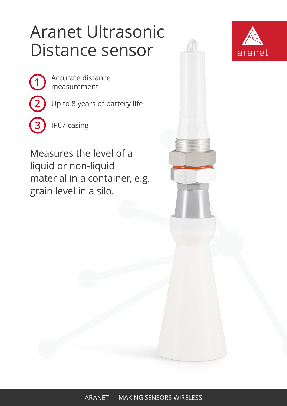## Aranet Ultrasonic Distance sensor

**1**

**2**

**3**

Accurate distance measurement

Up to 8 years of battery life

IP67 casing

Measures the level of a liquid or non-liquid material in a container, e.g. grain level in a silo.